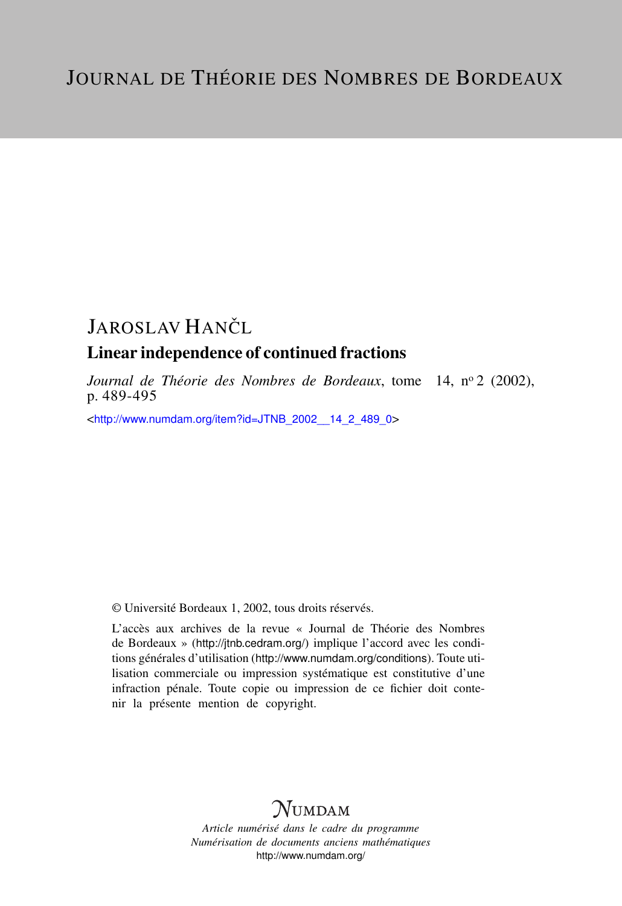# JAROSLAV HANČL Linear independence of continued fractions

*Journal de Théorie des Nombres de Bordeaux*, tome 14, nº 2 (2002), p. 489-495

<[http://www.numdam.org/item?id=JTNB\\_2002\\_\\_14\\_2\\_489\\_0](http://www.numdam.org/item?id=JTNB_2002__14_2_489_0)>

© Université Bordeaux 1, 2002, tous droits réservés.

L'accès aux archives de la revue « Journal de Théorie des Nombres de Bordeaux » (<http://jtnb.cedram.org/>) implique l'accord avec les conditions générales d'utilisation (<http://www.numdam.org/conditions>). Toute utilisation commerciale ou impression systématique est constitutive d'une infraction pénale. Toute copie ou impression de ce fichier doit contenir la présente mention de copyright.

## **NUMDAM**

*Article numérisé dans le cadre du programme Numérisation de documents anciens mathématiques* <http://www.numdam.org/>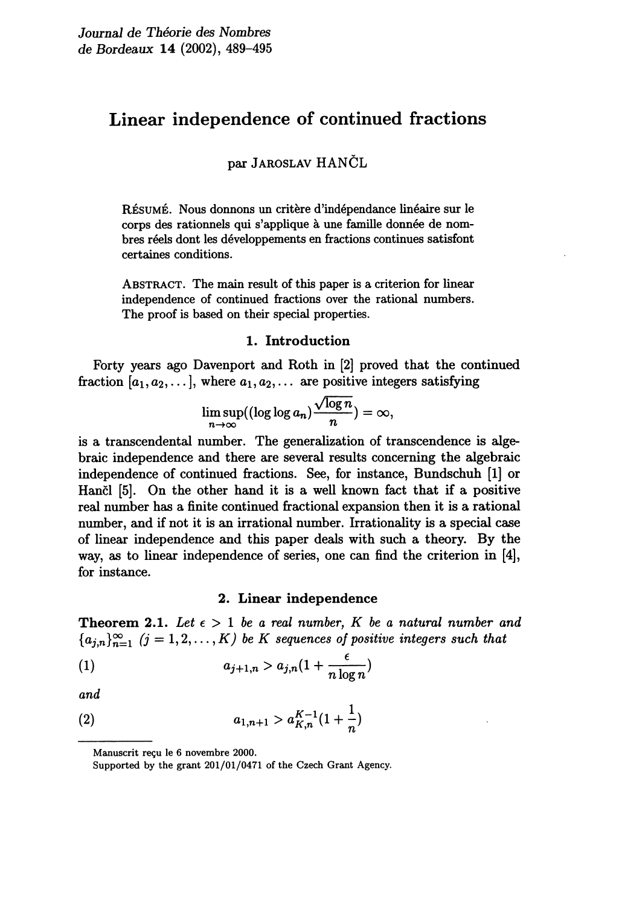### Linear independence of continued fractions

par JAROSLAV HANCL

RÉSUMÉ. Nous donnons un critère d'indépendance linéaire sur le corps des rationnels qui s'applique à une famille donnée de nombres réels dont les développements en fractions continues satisfont certaines conditions.

ABSTRACT. The main result of this paper is a criterion for linear independence of continued fractions over the rational numbers. The proof is based on their special properties.

#### 1. Introduction

Forty years ago Davenport and Roth in [2] proved that the continued fraction  $[a_1, a_2, \ldots]$ , where  $a_1, a_2, \ldots$  are positive integers satisfying

$$
\limsup_{n\to\infty}((\log\log a_n)\frac{\sqrt{\log n}}{n})=\infty,
$$

is a transcendental number. The generalization of transcendence is algebraic independence and there are several results concerning the algebraic independence of continued fractions. See, for instance, Bundschuh [1] or Hancl [5]. On the other hand it is a well known fact that if a positive real number has a finite continued fractional expansion then it is a rational number, and if not it is an irrational number. Irrationality is a special case of linear independence and this paper deals with such a theory. By the way, as to linear independence of series, one can find the criterion in [4], for instance.

#### 2. Linear independence

**Theorem 2.1.** Let  $\epsilon > 1$  be a real number, K be a natural number and  ${a_{i,n}}_{n=1}^{\infty}$   $(j = 1, 2, ..., K)$  be K sequences of positive integers such that

$$
(1) \t a_{j+1,n} > a_{j,n}(1+\frac{\epsilon}{n\log n})
$$

and

(2) 
$$
a_{1,n+1} > a_{K,n}^{K-1}(1+\frac{1}{n})
$$

Manuscrit reçu le 6 novembre 2000.

Supported by the grant 201/01/0471 of the Czech Grant Agency.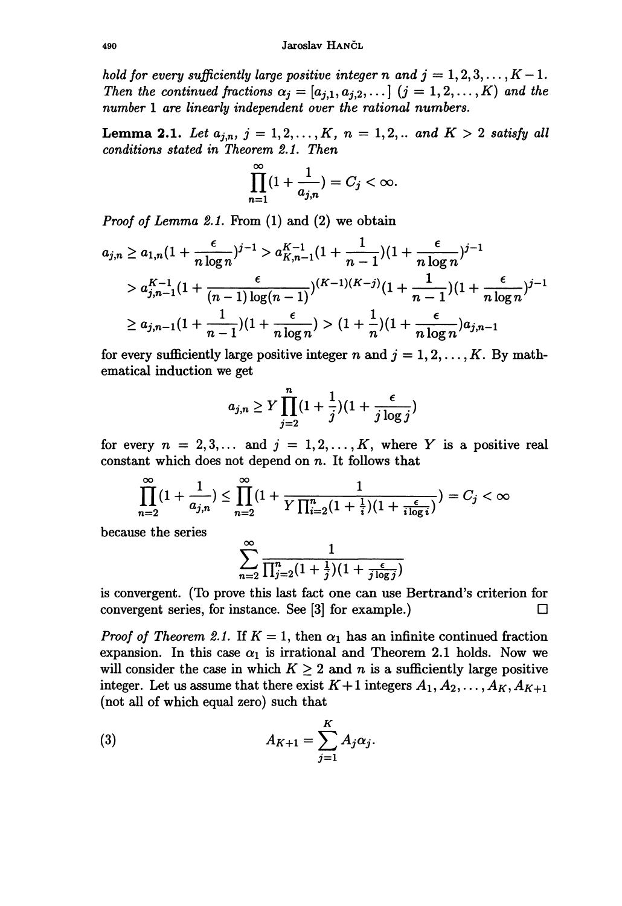hold for every sufficiently large positive integer n and  $j = 1, 2, 3, \ldots, K - 1$ . Then the continued fractions  $\alpha_j = [a_{j,1}, a_{j,2}, \ldots]$   $(j = 1, 2, \ldots, K)$  and the number 1 are linearly independent over the rational numbers.

**Lemma 2.1.** Let  $a_{j,n}$ ,  $j = 1, 2, ..., K$ ,  $n = 1, 2, ...$  and  $K > 2$  satisfy all conditions stated in Theorem 2.1. Then

$$
\prod_{n=1}^{\infty} (1 + \frac{1}{a_{j,n}}) = C_j < \infty.
$$

*Proof of Lemma 2.1.* From  $(1)$  and  $(2)$  we obtain

$$
a_{j,n} \ge a_{1,n} \left(1 + \frac{\epsilon}{n \log n}\right)^{j-1} > a_{K,n-1}^{K-1} \left(1 + \frac{1}{n-1}\right) \left(1 + \frac{\epsilon}{n \log n}\right)^{j-1} \\
> a_{j,n-1}^{K-1} \left(1 + \frac{\epsilon}{(n-1) \log(n-1)}\right)^{(K-1)(K-j)} \left(1 + \frac{1}{n-1}\right) \left(1 + \frac{\epsilon}{n \log n}\right)^{j-1} \\
> a_{j,n-1} \left(1 + \frac{1}{n-1}\right) \left(1 + \frac{\epsilon}{n \log n}\right) > \left(1 + \frac{1}{n}\right) \left(1 + \frac{\epsilon}{n \log n}\right) a_{j,n-1}
$$

for every sufficiently large positive integer n and  $j = 1, 2, \ldots, K$ . By mathematical induction we get

$$
a_{j,n} \ge Y \prod_{j=2}^n (1+\frac{1}{j})(1+\frac{\epsilon}{j \log j})
$$

for every  $n = 2, 3, \ldots$  and  $j = 1, 2, \ldots, K$ , where Y is a positive real constant which does not depend on  $n$ . It follows that

$$
\prod_{n=2}^{\infty} (1 + \frac{1}{a_{j,n}}) \le \prod_{n=2}^{\infty} (1 + \frac{1}{Y \prod_{i=2}^{n} (1 + \frac{1}{i})(1 + \frac{\epsilon}{i \log i})}) = C_j < \infty
$$

because the series

$$
\sum_{n=2}^{\infty} \frac{1}{\prod_{j=2}^{n} (1+\frac{1}{j})(1+\frac{\epsilon}{j \log j})}
$$

is convergent. (To prove this last fact one can use Bertrand's criterion for convergent series, for instance. See [3] for example.)  $\Box$ 

*Proof of Theorem 2.1.* If  $K = 1$ , then  $\alpha_1$  has an infinite continued fraction expansion. In this case  $\alpha_1$  is irrational and Theorem 2.1 holds. Now we will consider the case in which  $K \geq 2$  and n is a sufficiently large positive integer. Let us assume that there exist  $K+1$  integers  $A_1, A_2, \ldots, A_K, A_{K+1}$ (not all of which equal zero) such that

(3) 
$$
A_{K+1} = \sum_{j=1}^{K} A_j \alpha_j.
$$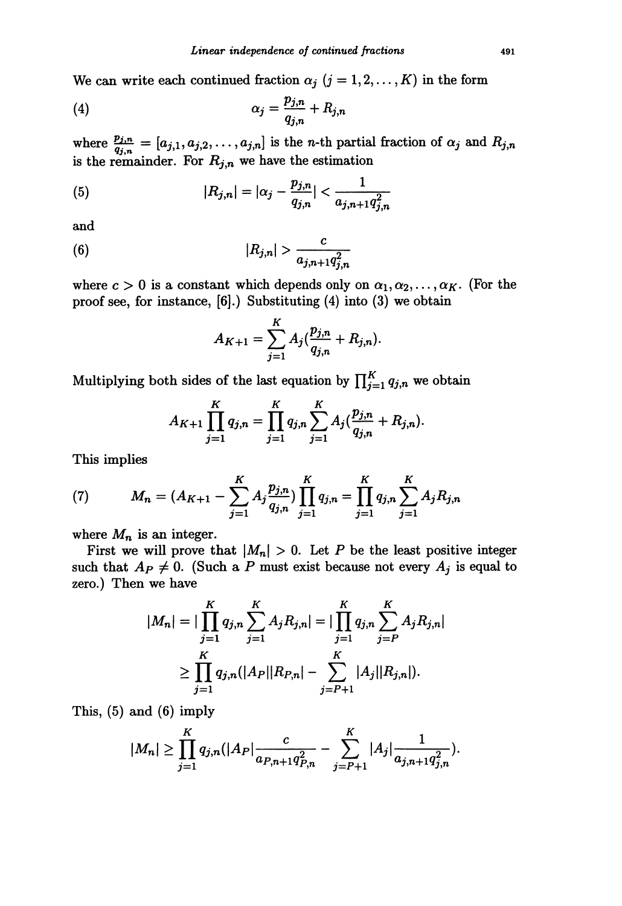We can write each continued fraction  $\alpha_j$   $(j = 1, 2, ..., K)$  in the form

$$
\alpha_j = \frac{p_{j,n}}{q_{j,n}} + R_{j,n}
$$

where  $\frac{p_{j,n}}{q_{j,n}} = [a_{j,1}, a_{j,2}, \dots, a_{j,n}]$  is the *n*-th partial fraction of  $\alpha_j$  and  $R_{j,n}$  is the remainder. For  $R_{j,n}$  we have the estimation

(5) 
$$
|R_{j,n}| = |\alpha_j - \frac{p_{j,n}}{q_{j,n}}| < \frac{1}{a_{j,n+1}q_{j,n}^2}
$$

and

(6) 
$$
|R_{j,n}| > \frac{c}{a_{j,n+1}q_{j,n}^2}
$$

where  $c > 0$  is a constant which depends only on  $\alpha_1, \alpha_2, \ldots, \alpha_K$ . (For the proof see, for instance, [6].) Substituting (4) into (3) we obtain

$$
A_{K+1} = \sum_{j=1}^{K} A_j \left( \frac{p_{j,n}}{q_{j,n}} + R_{j,n} \right).
$$

Multiplying both sides of the last equation by  $\prod_{j=1}^{K} q_{j,n}$  we obtain

$$
A_{K+1} \prod_{j=1}^{K} q_{j,n} = \prod_{j=1}^{K} q_{j,n} \sum_{j=1}^{K} A_j \left( \frac{p_{j,n}}{q_{j,n}} + R_{j,n} \right).
$$

This implies

(7) 
$$
M_{n} = (A_{K+1} - \sum_{j=1}^{K} A_{j} \frac{p_{j,n}}{q_{j,n}}) \prod_{j=1}^{K} q_{j,n} = \prod_{j=1}^{K} q_{j,n} \sum_{j=1}^{K} A_{j} R_{j,n}
$$

where  $M_n$  is an integer.

First we will prove that  $|M_n| > 0$ . Let P be the least positive integer such that  $A_P \neq 0$ . (Such a P must exist because not every  $A_j$  is equal to zero.) Then we have

$$
|M_n| = |\prod_{j=1}^K q_{j,n} \sum_{j=1}^K A_j R_{j,n}| = |\prod_{j=1}^K q_{j,n} \sum_{j=P}^K A_j R_{j,n}|
$$
  

$$
\geq \prod_{j=1}^K q_{j,n} (|A_P||R_{P,n}| - \sum_{j=P+1}^K |A_j||R_{j,n}|).
$$

This, (5) and (6) imply

$$
|M_n| \geq \prod_{j=1}^K q_{j,n}(|A_P| \frac{c}{a_{P,n+1}q_{P,n}^2} - \sum_{j=P+1}^K |A_j| \frac{1}{a_{j,n+1}q_{j,n}^2} ).
$$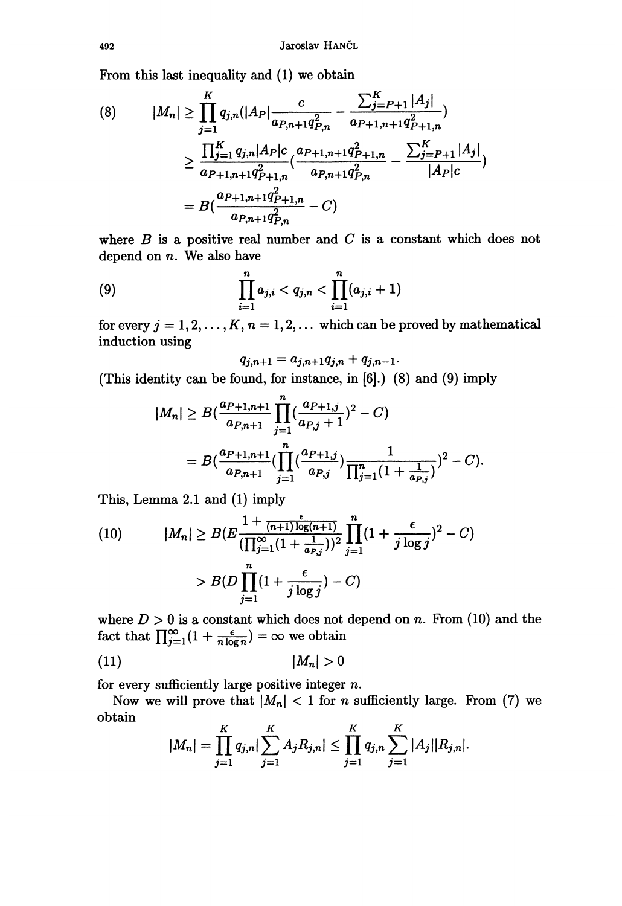From this last inequality and (1) we obtain

(8) 
$$
|M_n| \ge \prod_{j=1}^K q_{j,n}(|A_P| \frac{c}{a_{P,n+1}q_{P,n}^2} - \frac{\sum_{j=P+1}^K |A_j|}{a_{P+1,n+1}q_{P+1,n}^2}
$$

$$
\ge \frac{\prod_{j=1}^K q_{j,n}|A_P|c}{a_{P+1,n+1}q_{P+1,n}^2} \cdot \frac{a_{P+1,n+1}q_{P+1,n}^2}{a_{P,n+1}q_{P,n}^2} - \frac{\sum_{j=P+1}^K |A_j|}{|A_P|c}
$$

$$
= B\left(\frac{a_{P+1,n+1}q_{P+1,n}^2}{a_{P,n+1}q_{P,n}^2} - C\right)
$$

where  $B$  is a positive real number and  $C$  is a constant which does not depend on n. We also have

(9) 
$$
\prod_{i=1}^n a_{j,i} < q_{j,n} < \prod_{i=1}^n (a_{j,i} + 1)
$$

for every  $j = 1, 2, ..., K$ ,  $n = 1, 2, ...$  which can be proved by mathematical induction using

$$
q_{j,n+1} = a_{j,n+1}q_{j,n} + q_{j,n-1}.
$$

(This identity can be found, for instance, in [6].) (8) and (9) imply

$$
|M_n| \ge B\left(\frac{a_{P+1,n+1}}{a_{P,n+1}}\prod_{j=1}^n\left(\frac{a_{P+1,j}}{a_{P,j}+1}\right)^2 - C\right)
$$
  
= 
$$
B\left(\frac{a_{P+1,n+1}}{a_{P,n+1}}\left(\prod_{j=1}^n\left(\frac{a_{P+1,j}}{a_{P,j}}\right)\frac{1}{\prod_{j=1}^n(1+\frac{1}{a_{P,j}})}\right)^2 - C\right).
$$

This, Lemma 2.1 and (1) imply

(10) 
$$
|M_n| \ge B(E \frac{1 + \frac{\epsilon}{(n+1)\log(n+1)}}{\prod_{j=1}^{\infty} (1 + \frac{1}{a_{P,j}}))^2} \prod_{j=1}^n (1 + \frac{\epsilon}{j \log j})^2 - C)
$$

$$
> B(D \prod_{j=1}^n (1 + \frac{\epsilon}{j \log j}) - C)
$$

where  $D > 0$  is a constant which does not depend on n. From (10) and the fact that  $\prod_{i=1}^{\infty} (1 + \frac{\epsilon}{n \log n}) = \infty$  we obtain

$$
(11) \t\t |M_n| > 0
$$

for every sufficiently large positive integer  $n$ .

Now we will prove that  $|M_n| < 1$  for n sufficiently large. From (7) we obtain

$$
|M_n| = \prod_{j=1}^K q_{j,n} \big| \sum_{j=1}^K A_j R_{j,n} \big| \le \prod_{j=1}^K q_{j,n} \sum_{j=1}^K |A_j| |R_{j,n}|.
$$

492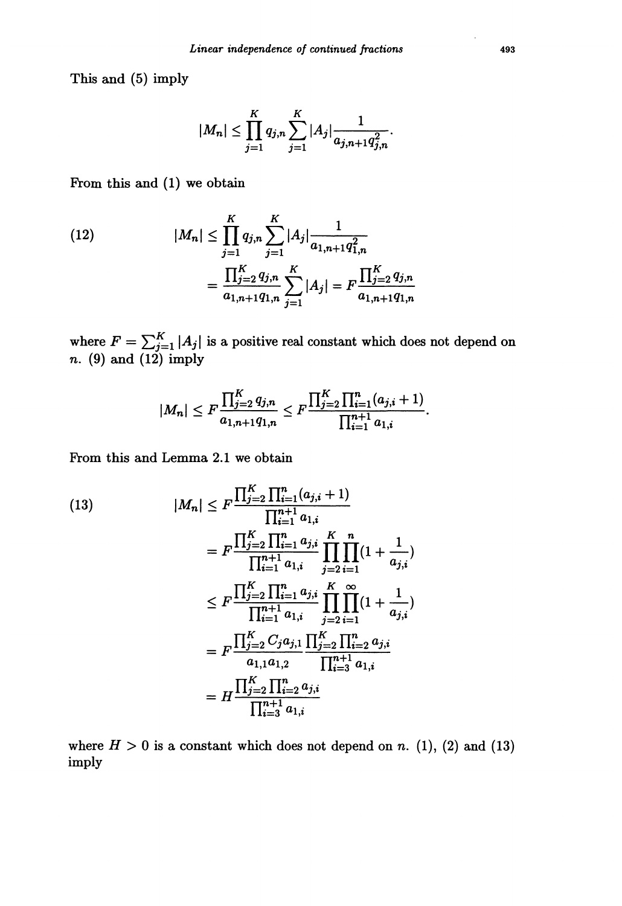This and (5) imply

$$
|M_n| \leq \prod_{j=1}^K q_{j,n} \sum_{j=1}^K |A_j| \frac{1}{a_{j,n+1}q_{j,n}^2}.
$$

From this and (1) we obtain

(12) 
$$
|M_n| \le \prod_{j=1}^K q_{j,n} \sum_{j=1}^K |A_j| \frac{1}{a_{1,n+1}q_{1,n}^2}
$$

$$
= \frac{\prod_{j=2}^K q_{j,n}}{a_{1,n+1}q_{1,n}} \sum_{j=1}^K |A_j| = F \frac{\prod_{j=2}^K q_{j,n}}{a_{1,n+1}q_{1,n}}
$$

where  $F = \sum_{j=1}^{K} |A_j|$  is a positive real constant which does not depend on n. (9) and (12) imply

$$
|M_n| \le F \frac{\prod_{j=2}^K q_{j,n}}{a_{1,n+1}q_{1,n}} \le F \frac{\prod_{j=2}^K \prod_{i=1}^n (a_{j,i}+1)}{\prod_{i=1}^{n+1} a_{1,i}}.
$$

From this and Lemma 2.1 we obtain

(13)  
\n
$$
|M_{n}| \leq F \frac{\prod_{j=2}^{K} \prod_{i=1}^{n} (a_{j,i} + 1)}{\prod_{i=1}^{n+1} a_{1,i}}
$$
\n
$$
= F \frac{\prod_{j=2}^{K} \prod_{i=1}^{n} a_{j,i}}{\prod_{i=1}^{n+1} a_{1,i}} \prod_{j=2}^{K} \prod_{i=1}^{n} (1 + \frac{1}{a_{j,i}})
$$
\n
$$
\leq F \frac{\prod_{j=2}^{K} \prod_{i=1}^{n} a_{j,i}}{\prod_{i=1}^{n+1} a_{1,i}} \prod_{j=2}^{K} \prod_{i=1}^{\infty} (1 + \frac{1}{a_{j,i}})
$$
\n
$$
= F \frac{\prod_{j=2}^{K} C_{j} a_{j,1}}{a_{1,1} a_{1,2}} \frac{\prod_{j=2}^{K} \prod_{i=2}^{n} a_{j,i}}{\prod_{i=3}^{n+1} a_{1,i}}
$$
\n
$$
= H \frac{\prod_{j=2}^{K} \prod_{i=2}^{n} a_{j,i}}{\prod_{i=3}^{n+1} a_{1,i}}
$$

where  $H > 0$  is a constant which does not depend on n. (1), (2) and (13) imply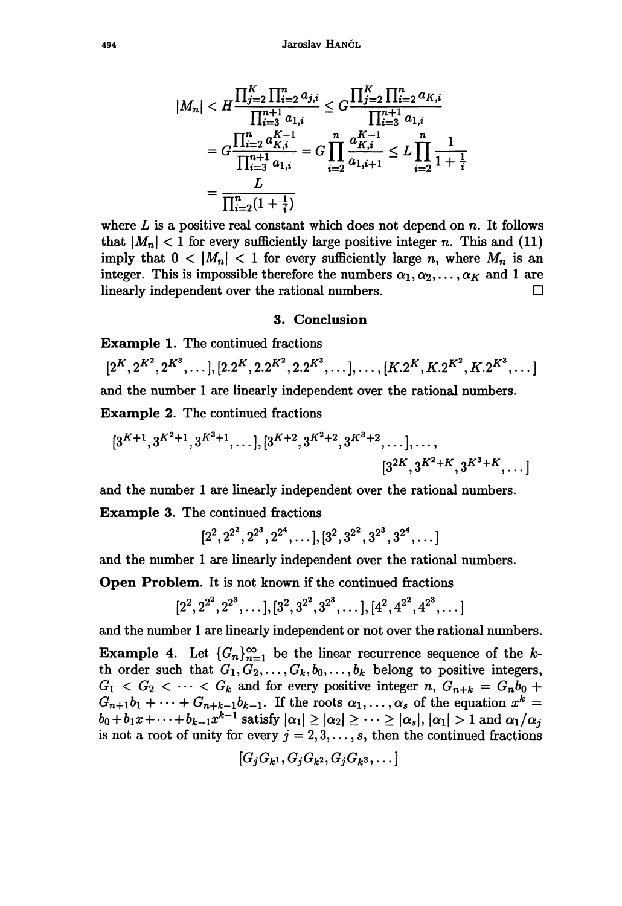$$
|M_n| < H \frac{\prod_{j=2}^K \prod_{i=2}^n a_{j,i}}{\prod_{i=3}^{n+1} a_{1,i}} \leq G \frac{\prod_{j=2}^K \prod_{i=2}^n a_{K,i}}{\prod_{i=3}^{n+1} a_{1,i}}
$$
\n
$$
= G \frac{\prod_{i=2}^{n+1} a_{K,i}}{\prod_{i=3}^{n+1} a_{1,i}} = G \prod_{i=2}^n \frac{a_{K,i}^{K-1}}{a_{1,i+1}} \leq L \prod_{i=2}^n \frac{1}{1 + \frac{1}{i}}
$$
\n
$$
= \frac{L}{\prod_{i=2}^n (1 + \frac{1}{i})}
$$

where  $L$  is a positive real constant which does not depend on  $n$ . It follows that  $|M_n| < 1$  for every sufficiently large positive integer n. This and (11) imply that  $0 < |M_n| < 1$  for every sufficiently large n, where  $M_n$  is an integer. This is impossible therefore the numbers  $\alpha_1, \alpha_2, \ldots, \alpha_K$  and 1 are linearly independent over the rational numbers.  $\Box$ 

### 3. Conclusion

Example 1. The continued fractions

 $[2^K, 2^{K^2}, 2^{K^3}, \ldots], [2.2^K, 2.2^{K^2}, 2.2^{K^3}, \ldots], \ldots, [K.2^K, K.2^{K^2}, K.2^{K^3}, \ldots]$ and the number 1 are linearly independent over the rational numbers. Example 2. The continued fractions

$$
[3^{K+1}, 3^{K^2+1}, 3^{K^3+1}, \ldots], [3^{K+2}, 3^{K^2+2}, 3^{K^3+2}, \ldots], \ldots,
$$
  
 $[3^{2K}, 3^{K^2+K}, 3^{K^3+K}, \ldots]$ 

and the number 1 are linearly independent over the rational numbers. Example 3. The continued fractions

 $[2^2, 2^{2^2}, 2^{2^3}, 2^{2^4}, \ldots], [3^2, 3^{2^2}, 3^{2^3}, 3^{2^4}, \ldots]$ 

and the number 1 are linearly independent over the rational numbers.

Open Problem. It is not known if the continued fractions

$$
[2^2, 2^{2^2}, 2^{2^3}, \ldots], [3^2, 3^{2^2}, 3^{2^3}, \ldots], [4^2, 4^{2^2}, 4^{2^3}, \ldots]
$$

and the number 1 are linearly independent or not over the rational numbers.

**Example 4.** Let  ${G_n}_{n=1}^{\infty}$  be the linear recurrence sequence of the kth order such that  $G_1, G_2, \ldots, G_k, b_0, \ldots, b_k$  belong to positive integers,  $G_1 < G_2 < \cdots < G_k$  and for every positive integer n,  $G_{n+k} = G_n b_0 +$  $G_{n+1}b_1 + \cdots + G_{n+k-1}b_{k-1}$ . If the roots  $\alpha_1, \ldots, \alpha_s$  of the equation  $x^k =$  $b_0+b_1x+\cdots+b_{k-1}x^{k-1}$  satisfy  $|\alpha_1|\geq |\alpha_2|\geq \cdots \geq |\alpha_s|, |\alpha_1|>1$  and  $\alpha_1/\alpha_1$ is not a root of unity for every  $j = 2, 3, \ldots, s$ , then the continued fractions

$$
[G_jG_{k^1},G_jG_{k^2},G_jG_{k^3},\dots]
$$